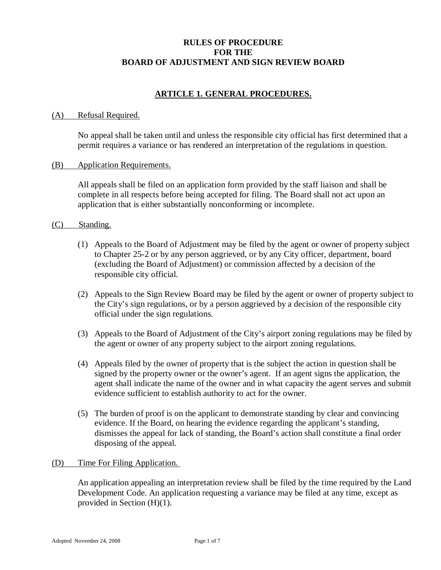# **RULES OF PROCEDURE FOR THE BOARD OF ADJUSTMENT AND SIGN REVIEW BOARD**

# **ARTICLE 1. GENERAL PROCEDURES.**

### (A) Refusal Required.

No appeal shall be taken until and unless the responsible city official has first determined that a permit requires a variance or has rendered an interpretation of the regulations in question.

### (B) Application Requirements.

All appeals shall be filed on an application form provided by the staff liaison and shall be complete in all respects before being accepted for filing. The Board shall not act upon an application that is either substantially nonconforming or incomplete.

### (C) Standing.

- (1) Appeals to the Board of Adjustment may be filed by the agent or owner of property subject to Chapter 25-2 or by any person aggrieved, or by any City officer, department, board (excluding the Board of Adjustment) or commission affected by a decision of the responsible city official.
- (2) Appeals to the Sign Review Board may be filed by the agent or owner of property subject to the City's sign regulations, or by a person aggrieved by a decision of the responsible city official under the sign regulations.
- (3) Appeals to the Board of Adjustment of the City's airport zoning regulations may be filed by the agent or owner of any property subject to the airport zoning regulations.
- (4) Appeals filed by the owner of property that is the subject the action in question shall be signed by the property owner or the owner's agent. If an agent signs the application, the agent shall indicate the name of the owner and in what capacity the agent serves and submit evidence sufficient to establish authority to act for the owner.
- (5) The burden of proof is on the applicant to demonstrate standing by clear and convincing evidence. If the Board, on hearing the evidence regarding the applicant's standing, dismisses the appeal for lack of standing, the Board's action shall constitute a final order disposing of the appeal.

### (D) Time For Filing Application.

An application appealing an interpretation review shall be filed by the time required by the Land Development Code. An application requesting a variance may be filed at any time, except as provided in Section (H)(1).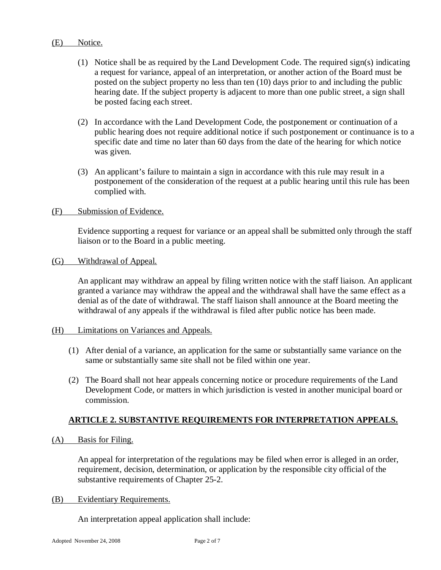### (E) Notice.

- (1) Notice shall be as required by the Land Development Code. The required sign(s) indicating a request for variance, appeal of an interpretation, or another action of the Board must be posted on the subject property no less than ten (10) days prior to and including the public hearing date. If the subject property is adjacent to more than one public street, a sign shall be posted facing each street.
- (2) In accordance with the Land Development Code, the postponement or continuation of a public hearing does not require additional notice if such postponement or continuance is to a specific date and time no later than 60 days from the date of the hearing for which notice was given.
- (3) An applicant's failure to maintain a sign in accordance with this rule may result in a postponement of the consideration of the request at a public hearing until this rule has been complied with.

### (F) Submission of Evidence.

Evidence supporting a request for variance or an appeal shall be submitted only through the staff liaison or to the Board in a public meeting.

### (G) Withdrawal of Appeal.

An applicant may withdraw an appeal by filing written notice with the staff liaison. An applicant granted a variance may withdraw the appeal and the withdrawal shall have the same effect as a denial as of the date of withdrawal. The staff liaison shall announce at the Board meeting the withdrawal of any appeals if the withdrawal is filed after public notice has been made.

### (H) Limitations on Variances and Appeals.

- (1) After denial of a variance, an application for the same or substantially same variance on the same or substantially same site shall not be filed within one year.
- (2) The Board shall not hear appeals concerning notice or procedure requirements of the Land Development Code, or matters in which jurisdiction is vested in another municipal board or commission.

# **ARTICLE 2. SUBSTANTIVE REQUIREMENTS FOR INTERPRETATION APPEALS.**

(A) Basis for Filing.

An appeal for interpretation of the regulations may be filed when error is alleged in an order, requirement, decision, determination, or application by the responsible city official of the substantive requirements of Chapter 25-2.

### (B) Evidentiary Requirements.

An interpretation appeal application shall include: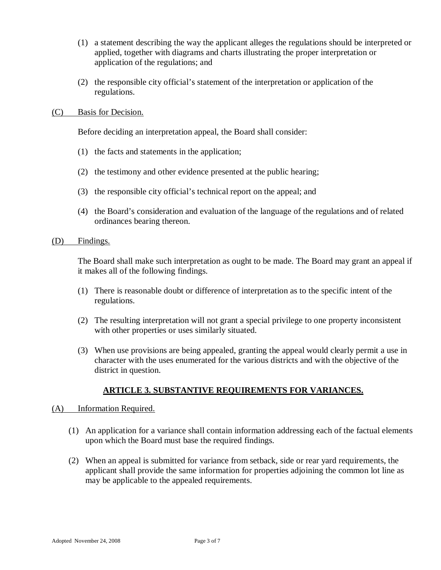- (1) a statement describing the way the applicant alleges the regulations should be interpreted or applied, together with diagrams and charts illustrating the proper interpretation or application of the regulations; and
- (2) the responsible city official's statement of the interpretation or application of the regulations.

### (C) Basis for Decision.

Before deciding an interpretation appeal, the Board shall consider:

- (1) the facts and statements in the application;
- (2) the testimony and other evidence presented at the public hearing;
- (3) the responsible city official's technical report on the appeal; and
- (4) the Board's consideration and evaluation of the language of the regulations and of related ordinances bearing thereon.

### (D) Findings.

The Board shall make such interpretation as ought to be made. The Board may grant an appeal if it makes all of the following findings.

- (1) There is reasonable doubt or difference of interpretation as to the specific intent of the regulations.
- (2) The resulting interpretation will not grant a special privilege to one property inconsistent with other properties or uses similarly situated.
- (3) When use provisions are being appealed, granting the appeal would clearly permit a use in character with the uses enumerated for the various districts and with the objective of the district in question.

### **ARTICLE 3. SUBSTANTIVE REQUIREMENTS FOR VARIANCES.**

### (A)Information Required.

- (1) An application for a variance shall contain information addressing each of the factual elements upon which the Board must base the required findings.
- (2) When an appeal is submitted for variance from setback, side or rear yard requirements, the applicant shall provide the same information for properties adjoining the common lot line as may be applicable to the appealed requirements.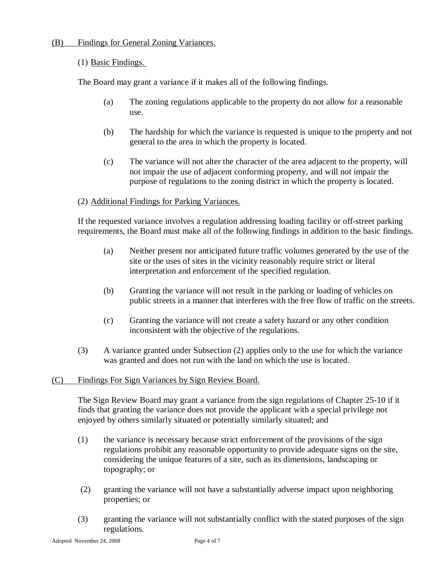# (B) Findings for General Zoning Variances.

# (1) Basic Findings.

The Board may grant a variance if it makes all of the following findings.

- (a) The zoning regulations applicable to the property do not allow for a reasonable use.
- (b) The hardship for which the variance is requested is unique to the property and not general to the area in which the property is located.
- (c) The variance will not alter the character of the area adjacent to the property, will not impair the use of adjacent conforming property, and will not impair the purpose of regulations to the zoning district in which the property is located.

# (2) Additional Findings for Parking Variances.

If the requested variance involves a regulation addressing loading facility or off-street parking requirements, the Board must make all of the following findings in addition to the basic findings.

- (a) Neither present nor anticipated future traffic volumes generated by the use of the site or the uses of sites in the vicinity reasonably require strict or literal interpretation and enforcement of the specified regulation.
- (b) Granting the variance will not result in the parking or loading of vehicles on public streets in a manner that interferes with the free flow of traffic on the streets.
- (c) Granting the variance will not create a safety hazard or any other condition inconsistent with the objective of the regulations.
- (3) A variance granted under Subsection (2) applies only to the use for which the variance was granted and does not run with the land on which the use is located.

### (C) Findings For Sign Variances by Sign Review Board.

The Sign Review Board may grant a variance from the sign regulations of Chapter 25-10 if it finds that granting the variance does not provide the applicant with a special privilege not enjoyed by others similarly situated or potentially similarly situated; and

- (1) the variance is necessary because strict enforcement of the provisions of the sign regulations prohibit any reasonable opportunity to provide adequate signs on the site, considering the unique features of a site, such as its dimensions, landscaping or topography; or
- (2) granting the variance will not have a substantially adverse impact upon neighboring properties; or
- (3) granting the variance will not substantially conflict with the stated purposes of the sign regulations.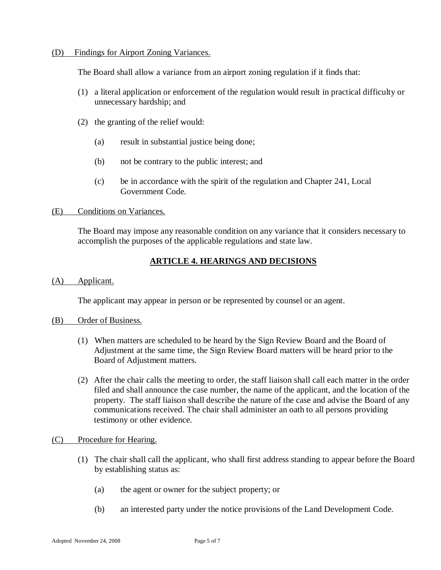### (D) Findings for Airport Zoning Variances.

The Board shall allow a variance from an airport zoning regulation if it finds that:

- (1) a literal application or enforcement of the regulation would result in practical difficulty or unnecessary hardship; and
- (2) the granting of the relief would:
	- (a) result in substantial justice being done;
	- (b) not be contrary to the public interest; and
	- (c) be in accordance with the spirit of the regulation and Chapter 241, Local Government Code.

### (E) Conditions on Variances.

The Board may impose any reasonable condition on any variance that it considers necessary to accomplish the purposes of the applicable regulations and state law.

# **ARTICLE 4. HEARINGS AND DECISIONS**

(A) Applicant.

The applicant may appear in person or be represented by counsel or an agent.

### (B) Order of Business.

- (1) When matters are scheduled to be heard by the Sign Review Board and the Board of Adjustment at the same time, the Sign Review Board matters will be heard prior to the Board of Adjustment matters.
- (2) After the chair calls the meeting to order, the staff liaison shall call each matter in the order filed and shall announce the case number, the name of the applicant, and the location of the property. The staff liaison shall describe the nature of the case and advise the Board of any communications received. The chair shall administer an oath to all persons providing testimony or other evidence.

### (C) Procedure for Hearing.

- (1) The chair shall call the applicant, who shall first address standing to appear before the Board by establishing status as:
	- (a) the agent or owner for the subject property; or
	- (b) an interested party under the notice provisions of the Land Development Code.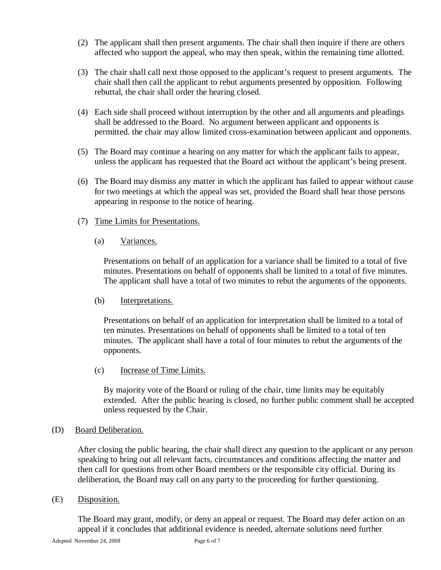- (2) The applicant shall then present arguments. The chair shall then inquire if there are others affected who support the appeal, who may then speak, within the remaining time allotted.
- (3) The chair shall call next those opposed to the applicant's request to present arguments. The chair shall then call the applicant to rebut arguments presented by opposition. Following rebuttal, the chair shall order the hearing closed.
- (4) Each side shall proceed without interruption by the other and all arguments and pleadings shall be addressed to the Board. No argument between applicant and opponents is permitted. the chair may allow limited cross-examination between applicant and opponents.
- (5) The Board may continue a hearing on any matter for which the applicant fails to appear, unless the applicant has requested that the Board act without the applicant's being present.
- (6) The Board may dismiss any matter in which the applicant has failed to appear without cause for two meetings at which the appeal was set, provided the Board shall hear those persons appearing in response to the notice of hearing.
- (7) Time Limits for Presentations.
	- (a) Variances.

Presentations on behalf of an application for a variance shall be limited to a total of five minutes. Presentations on behalf of opponents shall be limited to a total of five minutes. The applicant shall have a total of two minutes to rebut the arguments of the opponents.

(b) Interpretations.

Presentations on behalf of an application for interpretation shall be limited to a total of ten minutes. Presentations on behalf of opponents shall be limited to a total of ten minutes. The applicant shall have a total of four minutes to rebut the arguments of the opponents.

(c) Increase of Time Limits.

By majority vote of the Board or ruling of the chair, time limits may be equitably extended. After the public hearing is closed, no further public comment shall be accepted unless requested by the Chair.

(D) Board Deliberation.

After closing the public hearing, the chair shall direct any question to the applicant or any person speaking to bring out all relevant facts, circumstances and conditions affecting the matter and then call for questions from other Board members or the responsible city official. During its deliberation, the Board may call on any party to the proceeding for further questioning.

(E) Disposition.

The Board may grant, modify, or deny an appeal or request. The Board may defer action on an appeal if it concludes that additional evidence is needed, alternate solutions need further